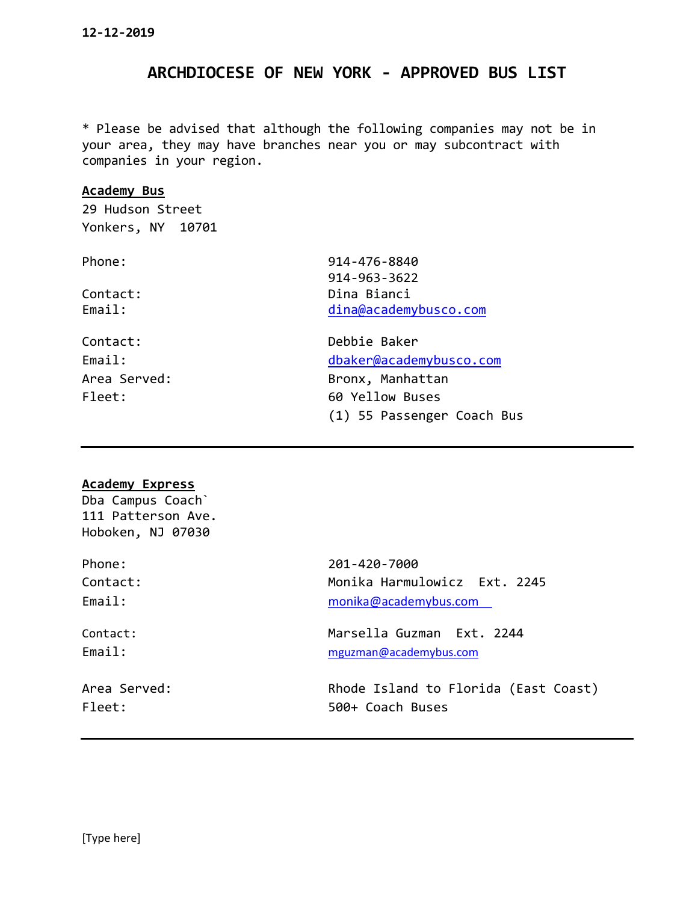# **ARCHDIOCESE OF NEW YORK - APPROVED BUS LIST**

\* Please be advised that although the following companies may not be in your area, they may have branches near you or may subcontract with companies in your region.

#### **Academy Bus**

29 Hudson Street Yonkers, NY 10701

Contact: Debbie Baker

Phone: 914-476-8840 914-963-3622 Contact: Dina Bianci Email: [dina@academybusco.com](mailto:dina@academybusco.com)

Email: [dbaker@academybusco.com](mailto:dbaker@academybusco.com) Area Served: The Bronx, Manhattan Fleet: 60 Yellow Buses (1) 55 Passenger Coach Bus

#### **Academy Express**

Dba Campus Coach` 111 Patterson Ave. Hoboken, NJ 07030

| Phone:       | 201-420-7000                         |  |
|--------------|--------------------------------------|--|
| Contact:     | Monika Harmulowicz Ext. 2245         |  |
| Email:       | monika@academybus.com                |  |
| Contact:     | Marsella Guzman Ext. 2244            |  |
| Email:       | mguzman@academybus.com               |  |
| Area Served: | Rhode Island to Florida (East Coast) |  |
| Fleet:       | 500+ Coach Buses                     |  |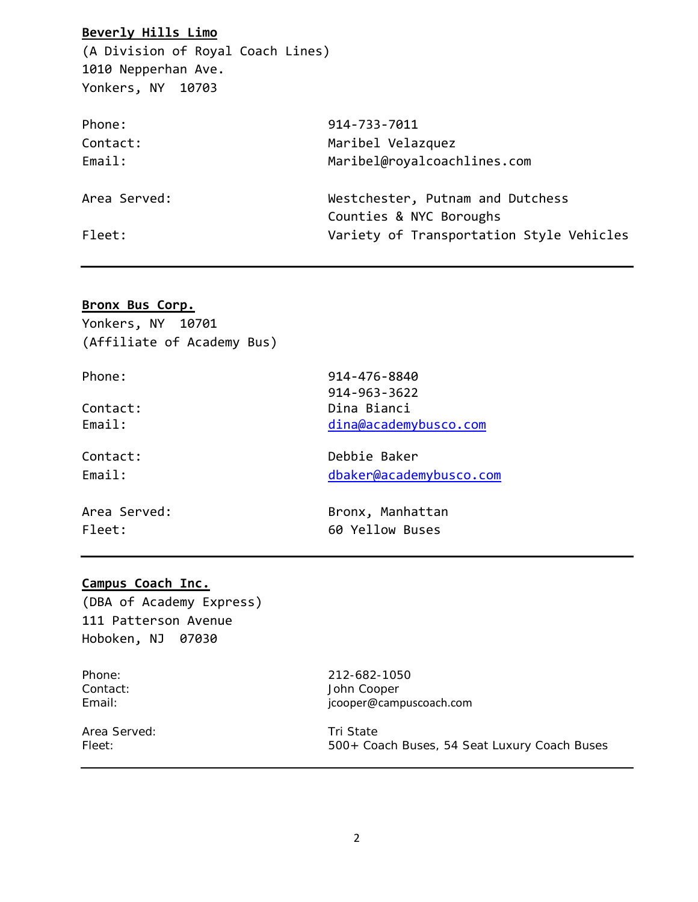#### **Beverly Hills Limo**

(A Division of Royal Coach Lines) 1010 Nepperhan Ave. Yonkers, NY 10703

| Phone:<br>Contact:<br>Email: | 914-733-7011<br>Maribel Velazquez<br>Maribel@royalcoachlines.com |
|------------------------------|------------------------------------------------------------------|
| Area Served:                 | Westchester, Putnam and Dutchess<br>Counties & NYC Boroughs      |
| Fleet:                       | Variety of Transportation Style Vehicles                         |

#### **Bronx Bus Corp.**

Yonkers, NY 10701 (Affiliate of Academy Bus)

Phone: 914-476-8840 914-963-3622 Contact: Dina Bianci Email: [dina@academybusco.com](mailto:dina@academybusco.com) Contact: Debbie Baker Email: [dbaker@academybusco.com](mailto:dbaker@academybusco.com)

Area Served: The Bronx, Manhattan Fleet: 60 Yellow Buses

#### **Campus Coach Inc.**

(DBA of Academy Express) 111 Patterson Avenue Hoboken, NJ 07030

Phone: 212-682-1050<br>Contact: 2010 - 212-682-1050 Contact: Contact: John Cooper<br>
Email: Contact: Contact: Contact: Contact: Contact: Contact: Contact: Contact: Contact: Contact: Contact: Conta<br>
Contact: Contact: Contact: Contact: Contact: Contact: Contact: Contact: Contac jcooper@campuscoach.com

Area Served: Tri State

Fleet: 500+ Coach Buses, 54 Seat Luxury Coach Buses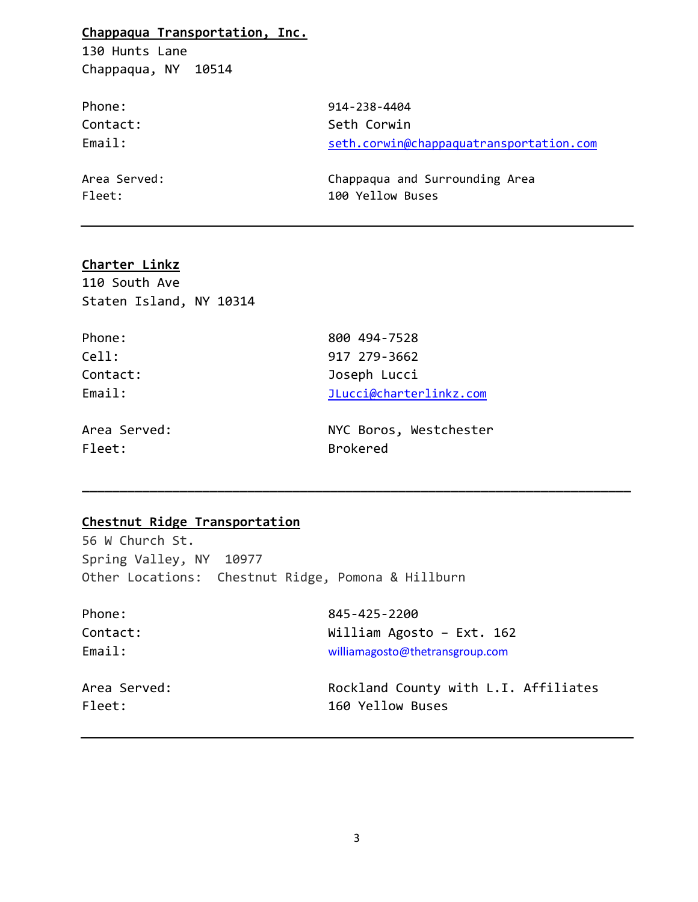# **Chappaqua Transportation, Inc.**

130 Hunts Lane Chappaqua, NY 10514

| Phone:       | 914-238-4404                            |
|--------------|-----------------------------------------|
| Contact:     | Seth Corwin                             |
| Email:       | seth.corwin@chappaquatransportation.com |
| Area Served: | Chappaqua and Surrounding Area          |
| Fleet:       | 100 Yellow Buses                        |

# **Charter Linkz**

110 South Ave Staten Island, NY 10314

| Phone:       | 800 494-7528            |
|--------------|-------------------------|
| Cell:        | 917 279-3662            |
| Contact:     | Joseph Lucci            |
| Email:       | JLucci@charterlinkz.com |
| Area Served: | NYC Boros, Westchester  |
| Fleet:       | <b>Brokered</b>         |

# **Chestnut Ridge Transportation**

56 W Church St. Spring Valley, NY 10977 Other Locations: Chestnut Ridge, Pomona & Hillburn

| 845-425-2200                         |
|--------------------------------------|
| William Agosto - Ext. 162            |
| williamagosto@thetransgroup.com      |
| Rockland County with L.I. Affiliates |
| 160 Yellow Buses                     |
|                                      |

**\_\_\_\_\_\_\_\_\_\_\_\_\_\_\_\_\_\_\_\_\_\_\_\_\_\_\_\_\_\_\_\_\_\_\_\_\_\_\_\_\_\_\_\_\_\_\_\_\_\_\_\_\_\_\_\_\_\_\_\_\_\_\_\_\_\_\_\_\_\_\_\_\_**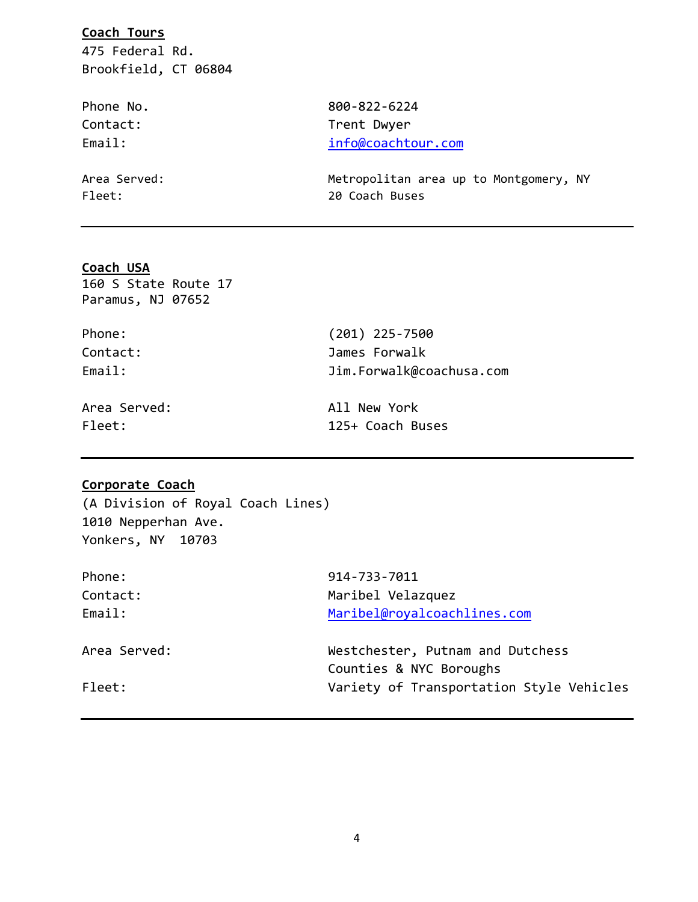#### **Coach Tours**

475 Federal Rd. Brookfield, CT 06804

Phone No. 300-822-6224 Contact: Trent Dwyer Email: [info@coachtour.com](mailto:info@coachtour.com)

Area Served:  $\blacksquare$  Metropolitan area up to Montgomery, NY Fleet: 20 Coach Buses

#### **Coach USA**

160 S State Route 17 Paramus, NJ 07652

| Phone:       | $(201)$ 225-7500         |  |
|--------------|--------------------------|--|
| Contact:     | James Forwalk            |  |
| Email:       | Jim.Forwalk@coachusa.com |  |
| Area Served: | All New York             |  |
| Fleet:       | 125+ Coach Buses         |  |

### **Corporate Coach**

(A Division of Royal Coach Lines) 1010 Nepperhan Ave. Yonkers, NY 10703

| Phone:       | 914-733-7011                                                |  |
|--------------|-------------------------------------------------------------|--|
| Contact:     | Maribel Velazquez                                           |  |
| Email:       | Maribel@royalcoachlines.com                                 |  |
| Area Served: | Westchester, Putnam and Dutchess<br>Counties & NYC Boroughs |  |
| Fleet:       | Variety of Transportation Style Vehicles                    |  |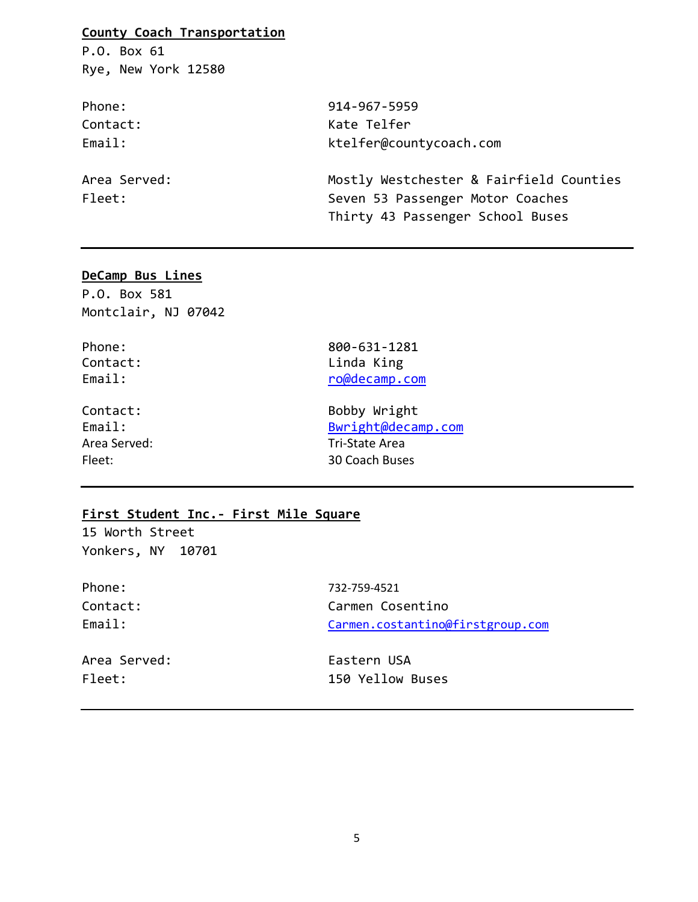# **County Coach Transportation**

P.O. Box 61 Rye, New York 12580

| Phone:       | 914-967-5959                            |  |
|--------------|-----------------------------------------|--|
| Contact:     | Kate Telfer                             |  |
| Email:       | ktelfer@countycoach.com                 |  |
| Area Served: | Mostly Westchester & Fairfield Counties |  |
| Fleet:       | Seven 53 Passenger Motor Coaches        |  |
|              | Thirty 43 Passenger School Buses        |  |

#### **DeCamp Bus Lines**

P.O. Box 581 Montclair, NJ 07042

Phone: 800-631-1281 Contact: Linda King Email:  $\frac{r \cdot \alpha}{r \cdot \alpha}$ 

Contact: Bobby Wright Email: Buright@decamp.com Area Served: Tri-State Area Fleet: 30 Coach Buses

#### **First Student Inc.- First Mile Square**

15 Worth Street Yonkers, NY 10701

Phone: 732-759-4521 Contact: Carmen Cosentino Email: [Carmen.costantino@firstgroup.com](mailto:Carmen.costantino@firstgroup.com) Area Served: Eastern USA Fleet: 150 Yellow Buses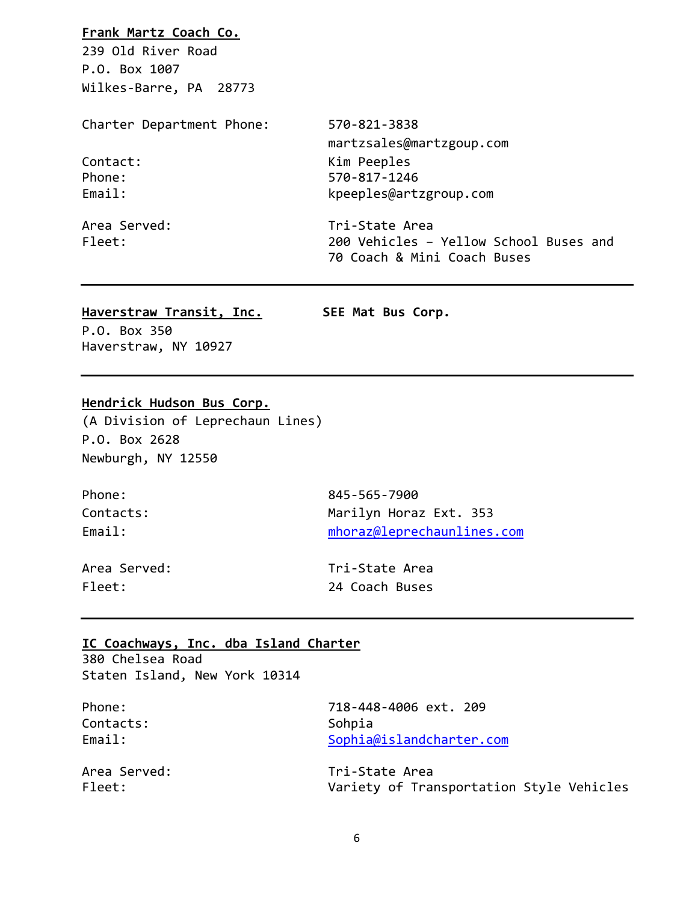#### **Frank Martz Coach Co.**

239 Old River Road P.O. Box 1007 Wilkes-Barre, PA 28773

Charter Department Phone: 570-821-3838

Area Served: Tri-State Area

martzsales@martzgoup.com Contact: Kim Peeples Phone: 570-817-1246 Email: Email: kpeeples@artzgroup.com

Fleet: 200 Vehicles – Yellow School Buses and 70 Coach & Mini Coach Buses

#### **Haverstraw Transit, Inc. SEE Mat Bus Corp.**

P.O. Box 350 Haverstraw, NY 10927

#### **Hendrick Hudson Bus Corp.**

(A Division of Leprechaun Lines) P.O. Box 2628 Newburgh, NY 12550

| Phone:       | 845-565-7900               |
|--------------|----------------------------|
| Contacts:    | Marilyn Horaz Ext. 353     |
| Email:       | mhoraz@leprechaunlines.com |
| Area Served: | Tri-State Area             |

|        | Area Served |
|--------|-------------|
| Fleet: |             |

24 Coach Buses

#### **IC Coachways, Inc. dba Island Charter**

380 Chelsea Road Staten Island, New York 10314

| Phone:       | 718-448-4006 ext. 209                    |
|--------------|------------------------------------------|
| Contacts:    | Sohpia                                   |
| Email:       | Sophia@islandcharter.com                 |
| Area Served: | Tri-State Area                           |
| Fleet:       | Variety of Transportation Style Vehicles |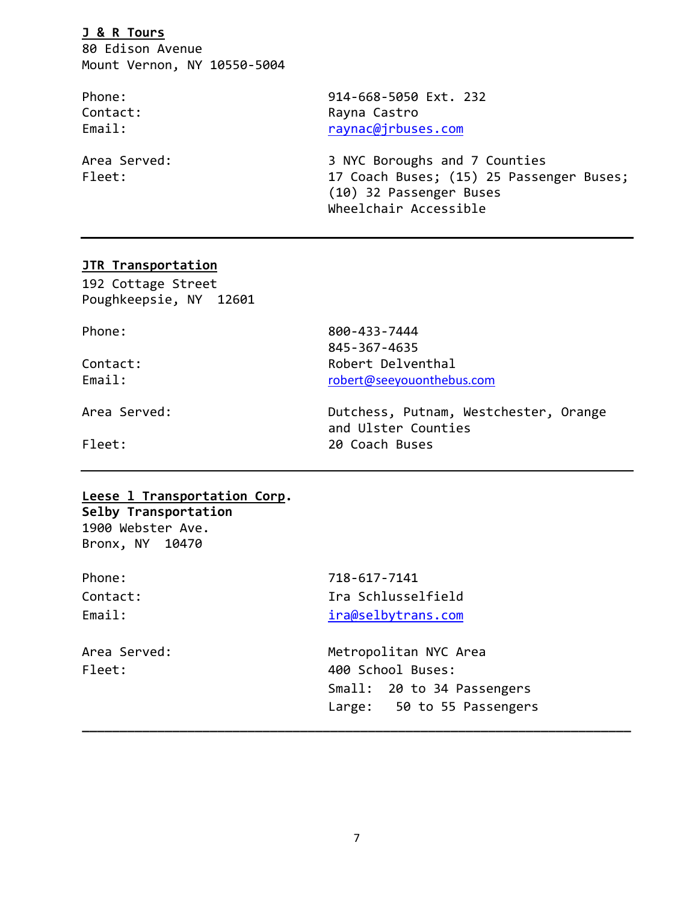#### **J & R Tours**

80 Edison Avenue Mount Vernon, NY 10550-5004

Phone: 914-668-5050 Ext. 232 Contact: Rayna Castro Email: The contract of the contract of the contract of the contract of the contract of the contract of the contract of the contract of the contract of the contract of the contract of the contract of the contract of the con

Area Served: 3 NYC Boroughs and 7 Counties Fleet: 17 Coach Buses; (15) 25 Passenger Buses; (10) 32 Passenger Buses Wheelchair Accessible

#### **JTR Transportation**

192 Cottage Street Poughkeepsie, NY 12601

| 800-433-7444<br>845-367-4635        |                                       |
|-------------------------------------|---------------------------------------|
| Robert Delventhal                   |                                       |
| robert@seeyouonthebus.com           |                                       |
| Area Served:<br>and Ulster Counties | Dutchess, Putnam, Westchester, Orange |
| 20 Coach Buses                      |                                       |
|                                     |                                       |

#### **Leese l Transportation Corp. Selby Transportation** 1900 Webster Ave.

Bronx, NY 10470

| Phone:       | 718-617-7141               |
|--------------|----------------------------|
| Contact:     | Ira Schlusselfield         |
| Email:       | ira@selbytrans.com         |
| Area Served: | Metropolitan NYC Area      |
| Fleet:       | 400 School Buses:          |
|              | Small: 20 to 34 Passengers |
|              | Large: 50 to 55 Passengers |

**\_\_\_\_\_\_\_\_\_\_\_\_\_\_\_\_\_\_\_\_\_\_\_\_\_\_\_\_\_\_\_\_\_\_\_\_\_\_\_\_\_\_\_\_\_\_\_\_\_\_\_\_\_\_\_\_\_\_\_\_\_\_\_\_\_\_\_\_\_\_\_\_\_**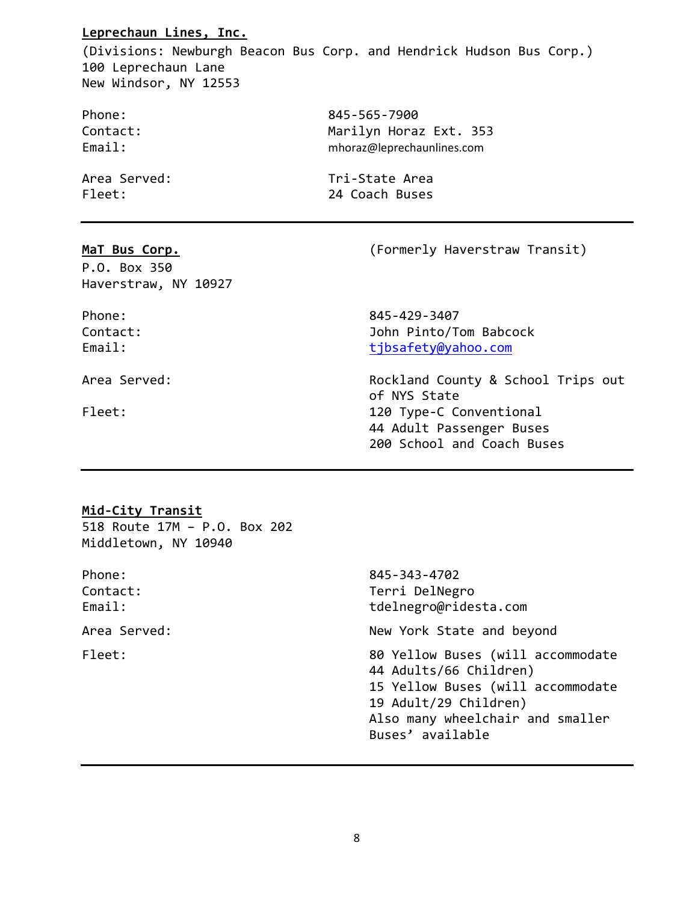### **Leprechaun Lines, Inc.**

(Divisions: Newburgh Beacon Bus Corp. and Hendrick Hudson Bus Corp.) 100 Leprechaun Lane New Windsor, NY 12553

Phone: 845-565-7900 Contact: Marilyn Horaz Ext. 353 Email: [mhoraz@leprechaunlines.com](mailto:mhoraz@leprechaunlines.com)

Area Served: Tri-State Area Fleet: 24 Coach Buses

P.O. Box 350 Haverstraw, NY 10927

**MaT Bus Corp.** (Formerly Haverstraw Transit)

Phone: 845-429-3407 Contact: John Pinto/Tom Babcock Email: [tjbsafety@yahoo.com](mailto:tjbsafety@yahoo.com)

Area Served: The County & School Trips out of NYS State Fleet: 120 Type-C Conventional 44 Adult Passenger Buses 200 School and Coach Buses

#### **Mid-City Transit**

518 Route 17M – P.O. Box 202 Middletown, NY 10940

Phone: [845-343-4702](tel:845-343-7717) Contact: Terri DelNegro Email: [tdelnegro@ridesta.com](mailto:tdelnegro@ridesta.com) Area Served: New York State and beyond Fleet: 80 Yellow Buses (will accommodate 44 Adults/66 Children) 15 Yellow Buses (will accommodate 19 Adult/29 Children) Also many wheelchair and smaller Buses' available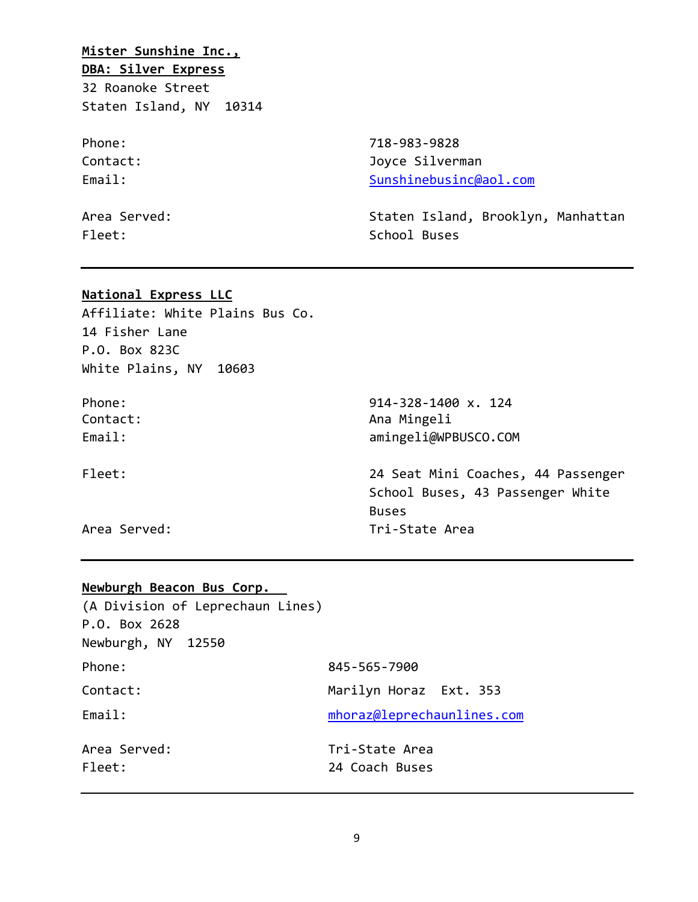# **Mister Sunshine Inc.,**

**DBA: Silver Express** 32 Roanoke Street

Staten Island, NY 10314

| Phone:   |  |
|----------|--|
| Contact: |  |
| Email:   |  |

Phone: 718-983-9828 Joyce Silverman [Sunshinebusinc@aol.com](mailto:Sunshinebusinc@aol.com)

Area Served: Staten Island, Brooklyn, Manhattan Fleet: School Buses

#### **National Express LLC**

Affiliate: White Plains Bus Co. 14 Fisher Lane P.O. Box 823C White Plains, NY 10603

Phone: 914-328-1400 x. 124 Contact: Ana Mingeli Email:  $\qquad \qquad \text{amingeli@WPBUSCO. COM}$ 

Fleet: 24 Seat Mini Coaches, 44 Passenger School Buses, 43 Passenger White Buses Area Served: Tri-State Area

#### **Newburgh Beacon Bus Corp.**

| (A Division of Leprechaun Lines)<br>P.O. Box 2628<br>Newburgh, NY 12550 |                            |
|-------------------------------------------------------------------------|----------------------------|
| Phone:                                                                  | 845-565-7900               |
| Contact:                                                                | Marilyn Horaz Ext. 353     |
| Email:                                                                  | mhoraz@leprechaunlines.com |
|                                                                         |                            |
| Area Served:                                                            | Tri-State Area             |
| Fleet:                                                                  | 24 Coach Buses             |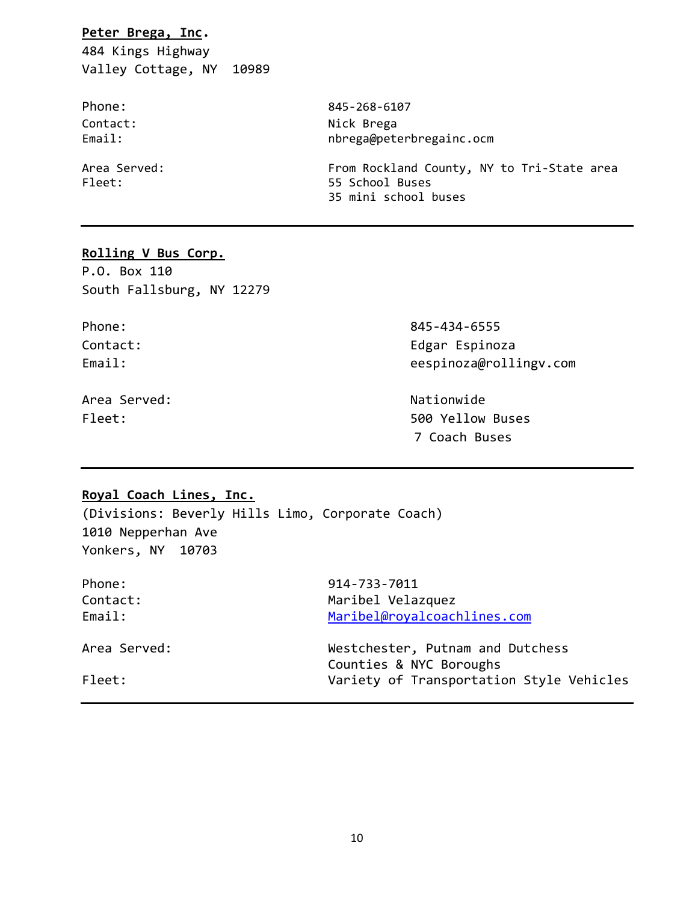#### **Peter Brega, Inc.**

484 Kings Highway Valley Cottage, NY 10989

Phone: [845-268-6107](tel:(845)%20268-6107) Contact: Nick Brega Email: email: nbrega@peterbregainc.ocm

Area Served: The Served: From Rockland County, NY to Tri-State area Fleet: 55 School Buses 35 mini school buses

### **Rolling V Bus Corp.**

P.O. Box 110 South Fallsburg, NY 12279

Phone: 845-434-6555 Contact: Edgar Espinoza Email: eespinoza@rollingv.com

Area Served: Nationwide

Fleet: 500 Yellow Buses 7 Coach Buses

#### **Royal Coach Lines, Inc.**

(Divisions: Beverly Hills Limo, Corporate Coach) 1010 Nepperhan Ave Yonkers, NY 10703

| Phone:<br>Contact:<br>Email: | 914-733-7011<br>Maribel Velazquez<br>Maribel@royalcoachlines.com |
|------------------------------|------------------------------------------------------------------|
| Area Served:                 | Westchester, Putnam and Dutchess<br>Counties & NYC Boroughs      |
| Fleet:                       | Variety of Transportation Style Vehicles                         |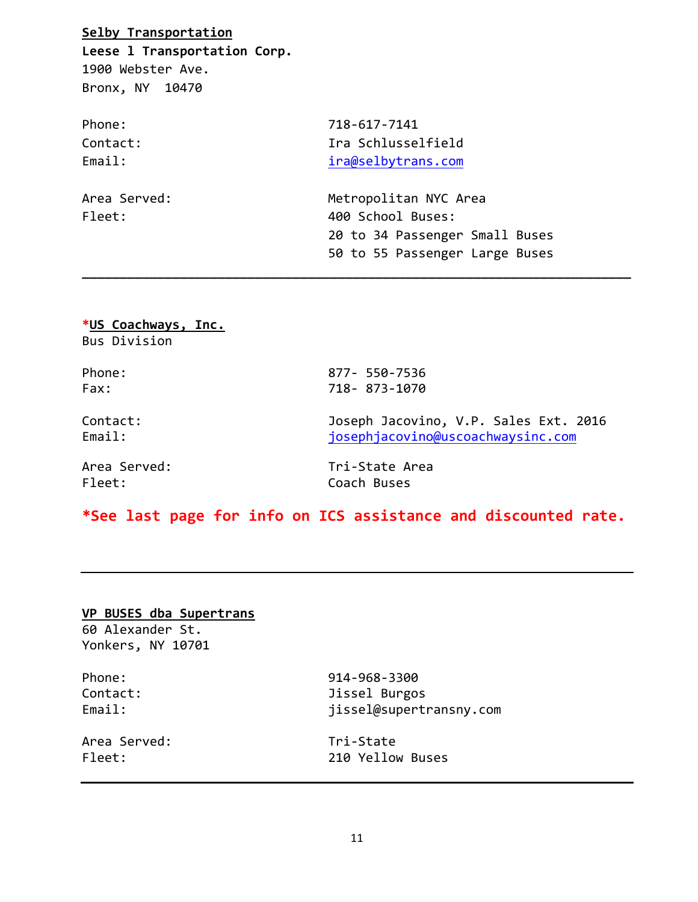# **Selby Transportation**

**Leese l Transportation Corp.** 1900 Webster Ave. Bronx, NY 10470

| Phone:                 | 718-617-7141                                                                                                   |
|------------------------|----------------------------------------------------------------------------------------------------------------|
| Contact:               | Ira Schlusselfield                                                                                             |
| Email:                 | ira@selbytrans.com                                                                                             |
| Area Served:<br>Fleet: | Metropolitan NYC Area<br>400 School Buses:<br>20 to 34 Passenger Small Buses<br>50 to 55 Passenger Large Buses |

**\*US Coachways, Inc.** Bus Division

Phone: 877- 550-7536 Fax: 718- 873-1070

Contact: Joseph Jacovino, V.P. Sales Ext. 2016 Email:  $josephjacovino@uscoachwaysinc.com$ 

Fleet: Coach Buses

Area Served: Tri-State Area

# **\*See last page for info on ICS assistance and discounted rate.**

|                     | VP BUSES dba Supertrans |
|---------------------|-------------------------|
| 60 Alexander St.    |                         |
| Yonkers, NY 10701   |                         |
| Phone:              |                         |
| Contact:            |                         |
| Email:              |                         |
| Area Served:<br>--- |                         |

Phone: 914-968-3300 Jissel Burgos jissel@supertransny.com

Tri-State Fleet: 210 Yellow Buses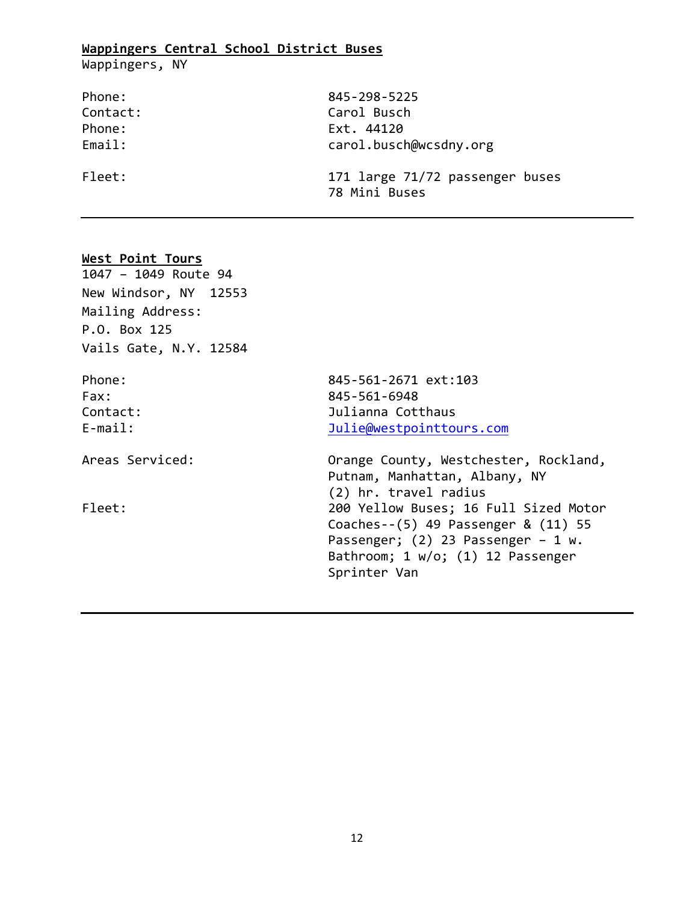# **Wappingers Central School District Buses**

Wappingers, NY

| Phone:   | 845-298-5225                                     |
|----------|--------------------------------------------------|
| Contact: | Carol Busch                                      |
| Phone:   | Ext. 44120                                       |
| Email:   | carol.busch@wcsdny.org                           |
| Fleet:   | 171 large 71/72 passenger buses<br>78 Mini Buses |

#### **West Point Tours**

1047 – 1049 Route 94 New Windsor, NY 12553 Mailing Address: P.O. Box 125 Vails Gate, N.Y. 12584 Phone: 845-561-2671 ext:103 Fax: 845-561-6948 Contact: Julianna Cotthaus E-mail:  $Julie@westpointtours.com$ Areas Serviced: The Serviced: County, Westchester, Rockland, Putnam, Manhattan, Albany, NY (2) hr. travel radius Fleet: 200 Yellow Buses; 16 Full Sized Motor Coaches--(5) 49 Passenger & (11) 55 Passenger; (2) 23 Passenger - 1 w. Bathroom; 1 w/o; (1) 12 Passenger Sprinter Van